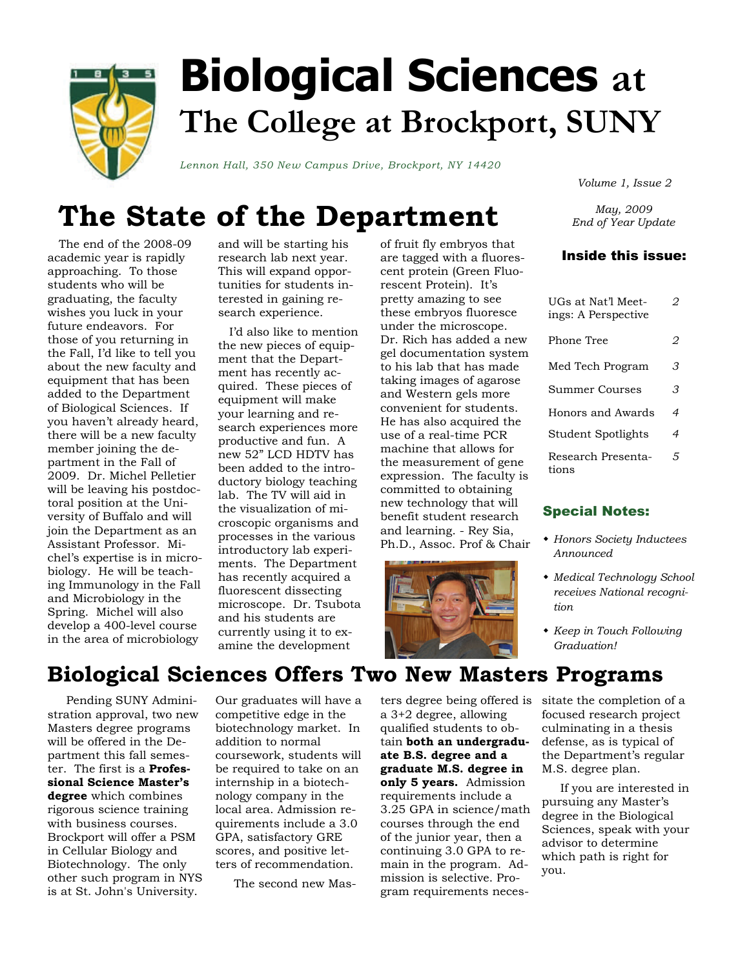

# **Biological Sciences at The College at Brockport, SUNY**

*Lennon Hall, 350 New Campus Drive, Brockport, NY 14420* 

*Volume 1, Issue 2* 

## **The State of the Department**

 The end of the 2008-09 academic year is rapidly approaching. To those students who will be graduating, the faculty wishes you luck in your future endeavors. For those of you returning in the Fall, I'd like to tell you about the new faculty and equipment that has been added to the Department of Biological Sciences. If you haven't already heard, there will be a new faculty member joining the department in the Fall of 2009. Dr. Michel Pelletier will be leaving his postdoctoral position at the University of Buffalo and will join the Department as an Assistant Professor. Michel's expertise is in microbiology. He will be teaching Immunology in the Fall and Microbiology in the Spring. Michel will also develop a 400-level course in the area of microbiology

and will be starting his research lab next year. This will expand opportunities for students interested in gaining research experience.

 I'd also like to mention the new pieces of equipment that the Department has recently acquired. These pieces of equipment will make your learning and research experiences more productive and fun. A new 52" LCD HDTV has been added to the introductory biology teaching lab. The TV will aid in the visualization of microscopic organisms and processes in the various introductory lab experiments. The Department has recently acquired a fluorescent dissecting microscope. Dr. Tsubota and his students are currently using it to examine the development

of fruit fly embryos that are tagged with a fluorescent protein (Green Fluorescent Protein). It's pretty amazing to see these embryos fluoresce under the microscope. Dr. Rich has added a new gel documentation system to his lab that has made taking images of agarose and Western gels more convenient for students. He has also acquired the use of a real-time PCR machine that allows for the measurement of gene expression. The faculty is committed to obtaining new technology that will benefit student research and learning. - Rey Sia, Ph.D., Assoc. Prof & Chair



*May, 2009 End of Year Update* 

#### Inside this issue:

| UGs at Nat'l Meet-<br>ings: A Perspective | ッ  |
|-------------------------------------------|----|
| Phone Tree                                | 2  |
| Med Tech Program                          | 3. |
| Summer Courses                            | 3. |
| Honors and Awards                         | 4  |
| Student Spotlights                        | 4  |
| Research Presenta-<br>tions               | 5  |

#### Special Notes:

- *Honors Society Inductees Announced*
- *Medical Technology School receives National recognition*
- *Keep in Touch Following Graduation!*

### **Biological Sciences Offers Two New Masters Programs**

 Pending SUNY Administration approval, two new Masters degree programs will be offered in the Department this fall semester. The first is a **Professional Science Master's degree** which combines rigorous science training with business courses. Brockport will offer a PSM in Cellular Biology and Biotechnology. The only other such program in NYS is at St. John's University.

Our graduates will have a competitive edge in the biotechnology market. In addition to normal coursework, students will be required to take on an internship in a biotechnology company in the local area. Admission requirements include a 3.0 GPA, satisfactory GRE scores, and positive letters of recommendation.

The second new Mas-

ters degree being offered is sitate the completion of a a 3+2 degree, allowing qualified students to obtain **both an undergraduate B.S. degree and a graduate M.S. degree in only 5 years.** Admission requirements include a 3.25 GPA in science/math courses through the end of the junior year, then a continuing 3.0 GPA to remain in the program. Admission is selective. Program requirements neces-

focused research project culminating in a thesis defense, as is typical of the Department's regular M.S. degree plan.

 If you are interested in pursuing any Master's degree in the Biological Sciences, speak with your advisor to determine which path is right for you.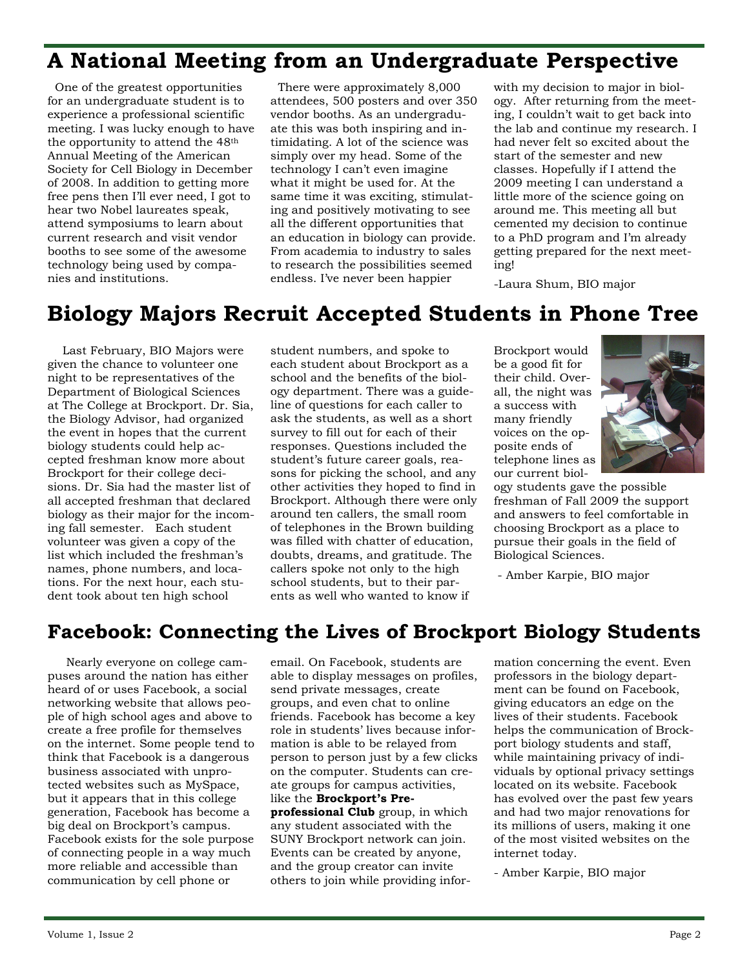### **A National Meeting from an Undergraduate Perspective**

 One of the greatest opportunities for an undergraduate student is to experience a professional scientific meeting. I was lucky enough to have the opportunity to attend the 48th Annual Meeting of the American Society for Cell Biology in December of 2008. In addition to getting more free pens then I'll ever need, I got to hear two Nobel laureates speak, attend symposiums to learn about current research and visit vendor booths to see some of the awesome technology being used by companies and institutions.

 There were approximately 8,000 attendees, 500 posters and over 350 vendor booths. As an undergraduate this was both inspiring and intimidating. A lot of the science was simply over my head. Some of the technology I can't even imagine what it might be used for. At the same time it was exciting, stimulating and positively motivating to see all the different opportunities that an education in biology can provide. From academia to industry to sales to research the possibilities seemed endless. I've never been happier

with my decision to major in biology. After returning from the meeting, I couldn't wait to get back into the lab and continue my research. I had never felt so excited about the start of the semester and new classes. Hopefully if I attend the 2009 meeting I can understand a little more of the science going on around me. This meeting all but cemented my decision to continue to a PhD program and I'm already getting prepared for the next meeting!

-Laura Shum, BIO major

#### **Biology Majors Recruit Accepted Students in Phone Tree**

 Last February, BIO Majors were given the chance to volunteer one night to be representatives of the Department of Biological Sciences at The College at Brockport. Dr. Sia, the Biology Advisor, had organized the event in hopes that the current biology students could help accepted freshman know more about Brockport for their college decisions. Dr. Sia had the master list of all accepted freshman that declared biology as their major for the incoming fall semester. Each student volunteer was given a copy of the list which included the freshman's names, phone numbers, and locations. For the next hour, each student took about ten high school

student numbers, and spoke to each student about Brockport as a school and the benefits of the biology department. There was a guideline of questions for each caller to ask the students, as well as a short survey to fill out for each of their responses. Questions included the student's future career goals, reasons for picking the school, and any other activities they hoped to find in Brockport. Although there were only around ten callers, the small room of telephones in the Brown building was filled with chatter of education, doubts, dreams, and gratitude. The callers spoke not only to the high school students, but to their parents as well who wanted to know if

Brockport would be a good fit for their child. Overall, the night was a success with many friendly voices on the opposite ends of telephone lines as our current biol-



ogy students gave the possible freshman of Fall 2009 the support and answers to feel comfortable in choosing Brockport as a place to pursue their goals in the field of Biological Sciences.

- Amber Karpie, BIO major

#### **Facebook: Connecting the Lives of Brockport Biology Students**

 Nearly everyone on college campuses around the nation has either heard of or uses Facebook, a social networking website that allows people of high school ages and above to create a free profile for themselves on the internet. Some people tend to think that Facebook is a dangerous business associated with unprotected websites such as MySpace, but it appears that in this college generation, Facebook has become a big deal on Brockport's campus. Facebook exists for the sole purpose of connecting people in a way much more reliable and accessible than communication by cell phone or

email. On Facebook, students are able to display messages on profiles, send private messages, create groups, and even chat to online friends. Facebook has become a key role in students' lives because information is able to be relayed from person to person just by a few clicks on the computer. Students can create groups for campus activities, like the **Brockport's Preprofessional Club** group, in which any student associated with the SUNY Brockport network can join. Events can be created by anyone, and the group creator can invite others to join while providing infor-

mation concerning the event. Even professors in the biology department can be found on Facebook, giving educators an edge on the lives of their students. Facebook helps the communication of Brockport biology students and staff, while maintaining privacy of individuals by optional privacy settings located on its website. Facebook has evolved over the past few years and had two major renovations for its millions of users, making it one of the most visited websites on the internet today.

- Amber Karpie, BIO major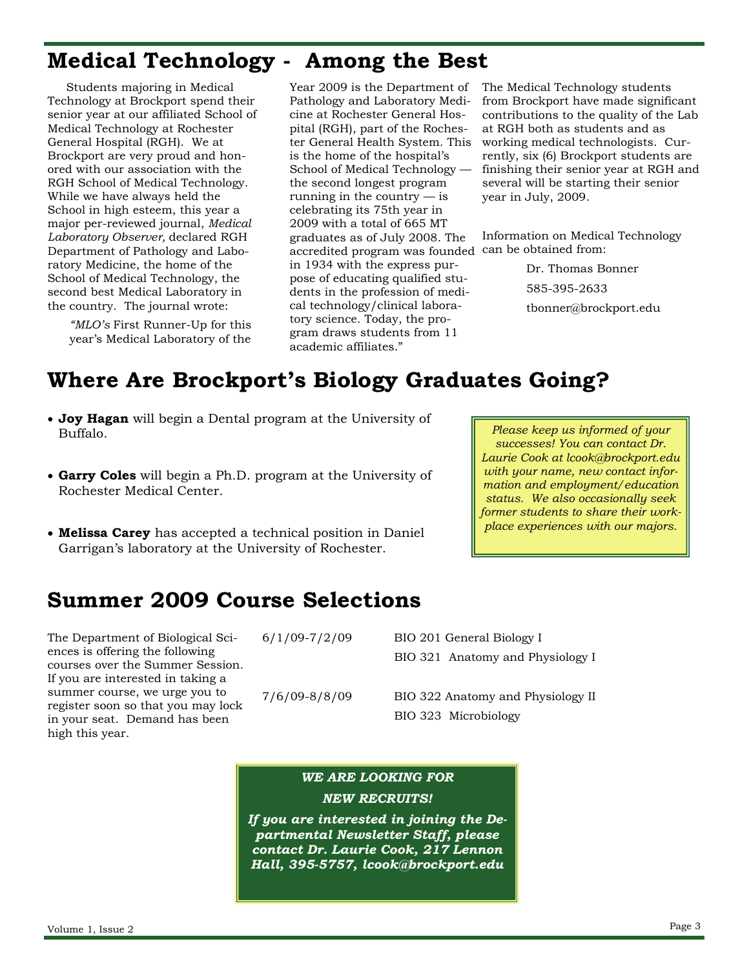### **Medical Technology - Among the Best**

 Students majoring in Medical Technology at Brockport spend their senior year at our affiliated School of Medical Technology at Rochester General Hospital (RGH). We at Brockport are very proud and honored with our association with the RGH School of Medical Technology. While we have always held the School in high esteem, this year a major per-reviewed journal, *Medical Laboratory Observer,* declared RGH Department of Pathology and Laboratory Medicine, the home of the School of Medical Technology, the second best Medical Laboratory in the country. The journal wrote:

*"MLO's* First Runner-Up for this year's Medical Laboratory of the Year 2009 is the Department of Pathology and Laboratory Medicine at Rochester General Hospital (RGH), part of the Rochester General Health System. This is the home of the hospital's School of Medical Technology the second longest program running in the country  $-$  is celebrating its 75th year in 2009 with a total of 665 MT graduates as of July 2008. The accredited program was founded can be obtained from: in 1934 with the express purpose of educating qualified students in the profession of medical technology/clinical laboratory science. Today, the program draws students from 11 academic affiliates."

The Medical Technology students from Brockport have made significant contributions to the quality of the Lab at RGH both as students and as working medical technologists. Currently, six (6) Brockport students are finishing their senior year at RGH and several will be starting their senior year in July, 2009.

Information on Medical Technology

 Dr. Thomas Bonner 585-395-2633 tbonner@brockport.edu

*Please keep us informed of your successes! You can contact Dr. Laurie Cook at lcook@brockport.edu with your name, new contact information and employment/education status. We also occasionally seek former students to share their workplace experiences with our majors.* 

### **Where Are Brockport's Biology Graduates Going?**

- **Joy Hagan** will begin a Dental program at the University of Buffalo.
- **Garry Coles** will begin a Ph.D. program at the University of Rochester Medical Center.
- **Melissa Carey** has accepted a technical position in Daniel Garrigan's laboratory at the University of Rochester.

**Summer 2009 Course Selections** 

The Department of Biological Sciences is offering the following courses over the Summer Session. If you are interested in taking a summer course, we urge you to register soon so that you may lock in your seat. Demand has been high this year.

|  | $6/1/09 - 7/2/09$ |  |
|--|-------------------|--|
|  |                   |  |

BIO 201 General Biology I BIO 321 Anatomy and Physiology I

7/6/09-8/8/09 BIO 322 Anatomy and Physiology II BIO 323 Microbiology

#### *WE ARE LOOKING FOR NEW RECRUITS!*

*If you are interested in joining the Departmental Newsletter Staff, please contact Dr. Laurie Cook, 217 Lennon Hall, 395-5757, lcook@brockport.edu*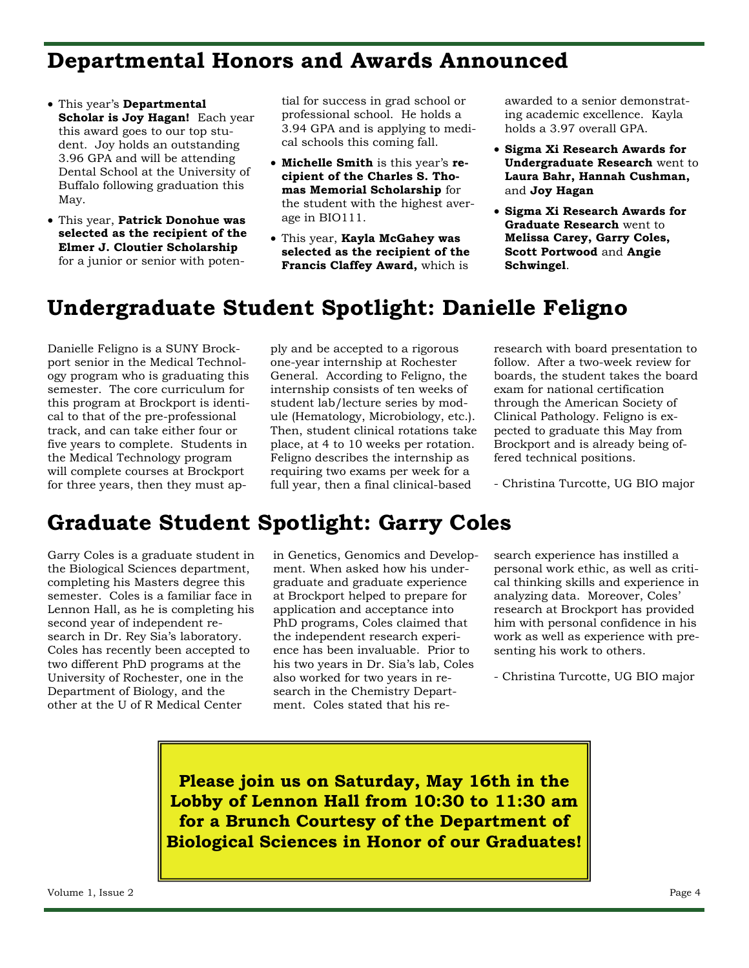#### **Departmental Honors and Awards Announced**

- This year's **Departmental Scholar is Joy Hagan!** Each year this award goes to our top student. Joy holds an outstanding 3.96 GPA and will be attending Dental School at the University of Buffalo following graduation this May.
- This year, **Patrick Donohue was selected as the recipient of the Elmer J. Cloutier Scholarship**  for a junior or senior with poten-

tial for success in grad school or professional school. He holds a 3.94 GPA and is applying to medical schools this coming fall.

- **Michelle Smith** is this year's **recipient of the Charles S. Thomas Memorial Scholarship** for the student with the highest average in BIO111.
- This year, **Kayla McGahey was selected as the recipient of the Francis Claffey Award,** which is

awarded to a senior demonstrating academic excellence. Kayla holds a 3.97 overall GPA.

- **Sigma Xi Research Awards for Undergraduate Research** went to **Laura Bahr, Hannah Cushman,**  and **Joy Hagan**
- **Sigma Xi Research Awards for Graduate Research** went to **Melissa Carey, Garry Coles, Scott Portwood** and **Angie Schwingel**.

### **Undergraduate Student Spotlight: Danielle Feligno**

Danielle Feligno is a SUNY Brockport senior in the Medical Technology program who is graduating this semester. The core curriculum for this program at Brockport is identical to that of the pre-professional track, and can take either four or five years to complete. Students in the Medical Technology program will complete courses at Brockport for three years, then they must apply and be accepted to a rigorous one-year internship at Rochester General. According to Feligno, the internship consists of ten weeks of student lab/lecture series by module (Hematology, Microbiology, etc.). Then, student clinical rotations take place, at 4 to 10 weeks per rotation. Feligno describes the internship as requiring two exams per week for a full year, then a final clinical-based

research with board presentation to follow. After a two-week review for boards, the student takes the board exam for national certification through the American Society of Clinical Pathology. Feligno is expected to graduate this May from Brockport and is already being offered technical positions.

- Christina Turcotte, UG BIO major

### **Graduate Student Spotlight: Garry Coles**

Garry Coles is a graduate student in the Biological Sciences department, completing his Masters degree this semester. Coles is a familiar face in Lennon Hall, as he is completing his second year of independent research in Dr. Rey Sia's laboratory. Coles has recently been accepted to two different PhD programs at the University of Rochester, one in the Department of Biology, and the other at the U of R Medical Center

in Genetics, Genomics and Development. When asked how his undergraduate and graduate experience at Brockport helped to prepare for application and acceptance into PhD programs, Coles claimed that the independent research experience has been invaluable. Prior to his two years in Dr. Sia's lab, Coles also worked for two years in research in the Chemistry Department. Coles stated that his research experience has instilled a personal work ethic, as well as critical thinking skills and experience in analyzing data. Moreover, Coles' research at Brockport has provided him with personal confidence in his work as well as experience with presenting his work to others.

- Christina Turcotte, UG BIO major

**Please join us on Saturday, May 16th in the Lobby of Lennon Hall from 10:30 to 11:30 am for a Brunch Courtesy of the Department of Biological Sciences in Honor of our Graduates!**